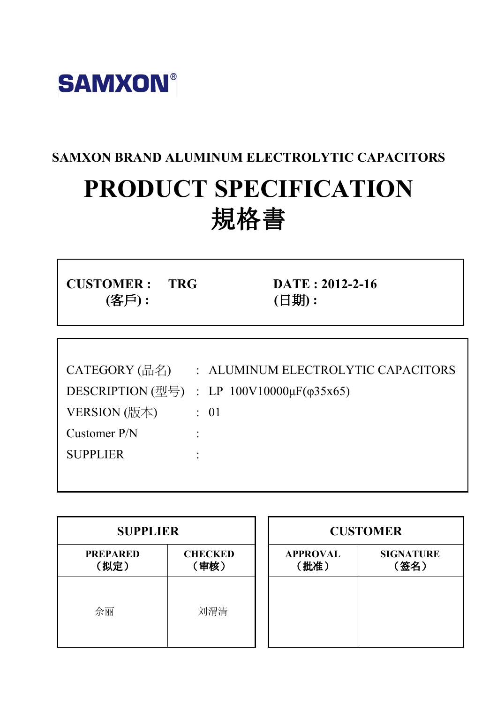

# SAMXON BRAND ALUMINUM ELECTROLYTIC CAPACITORS PRODUCT SPECIFICATION 規格書

CUSTOMER : TRG DATE : 2012-2-16 (客戶) : (日期) :

| CATEGORY (品名)   | : ALUMINUM ELECTROLYTIC CAPACITORS                                                                   |
|-----------------|------------------------------------------------------------------------------------------------------|
|                 | DESCRIPTION $(\underline{\mathbb{Z}}\overline{\mathbb{Z}})$ : LP 100V10000 $\mu$ F( $\varphi$ 35x65) |
| VERSION (版本)    | $\therefore$ 01                                                                                      |
| Customer P/N    |                                                                                                      |
| <b>SUPPLIER</b> |                                                                                                      |
|                 |                                                                                                      |

| <b>SUPPLIER</b>         |                        |  |                         | <b>CUSTOMER</b>          |
|-------------------------|------------------------|--|-------------------------|--------------------------|
| <b>PREPARED</b><br>(拟定) | <b>CHECKED</b><br>〔审核〕 |  | <b>APPROVAL</b><br>(批准) | <b>SIGNATURE</b><br>(签名) |
| 佘丽                      | 刘渭清                    |  |                         |                          |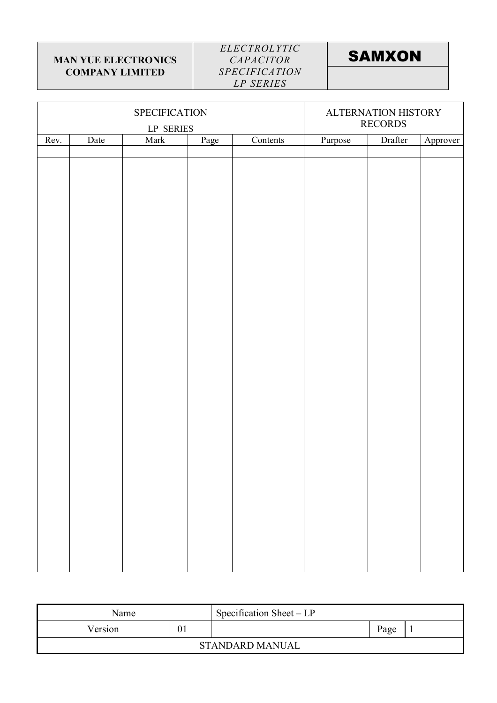$\mathsf{r}$ 

### ELECTROLYTIC CAPACITOR **SPECIFICATION** LP SERIES

 $\overline{\mathsf{T}}$ 

# **SAMXON**

 $\overline{\mathbf{1}}$ 

|      |      | SPECIFICATION    | ALTERNATION HISTORY<br><b>RECORDS</b> |          |         |         |          |
|------|------|------------------|---------------------------------------|----------|---------|---------|----------|
|      |      | <b>LP SERIES</b> |                                       |          |         |         |          |
| Rev. | Date | Mark             | Page                                  | Contents | Purpose | Drafter | Approver |
|      |      |                  |                                       |          |         |         |          |
|      |      |                  |                                       |          |         |         |          |
|      |      |                  |                                       |          |         |         |          |
|      |      |                  |                                       |          |         |         |          |
|      |      |                  |                                       |          |         |         |          |
|      |      |                  |                                       |          |         |         |          |
|      |      |                  |                                       |          |         |         |          |
|      |      |                  |                                       |          |         |         |          |
|      |      |                  |                                       |          |         |         |          |
|      |      |                  |                                       |          |         |         |          |
|      |      |                  |                                       |          |         |         |          |
|      |      |                  |                                       |          |         |         |          |
|      |      |                  |                                       |          |         |         |          |
|      |      |                  |                                       |          |         |         |          |
|      |      |                  |                                       |          |         |         |          |
|      |      |                  |                                       |          |         |         |          |
|      |      |                  |                                       |          |         |         |          |
|      |      |                  |                                       |          |         |         |          |
|      |      |                  |                                       |          |         |         |          |
|      |      |                  |                                       |          |         |         |          |
|      |      |                  |                                       |          |         |         |          |
|      |      |                  |                                       |          |         |         |          |
|      |      |                  |                                       |          |         |         |          |
|      |      |                  |                                       |          |         |         |          |
|      |      |                  |                                       |          |         |         |          |
|      |      |                  |                                       |          |         |         |          |
|      |      |                  |                                       |          |         |         |          |
|      |      |                  |                                       |          |         |         |          |
|      |      |                  |                                       |          |         |         |          |
|      |      |                  |                                       |          |         |         |          |
|      |      |                  |                                       |          |         |         |          |
|      |      |                  |                                       |          |         |         |          |
|      |      |                  |                                       |          |         |         |          |
|      |      |                  |                                       |          |         |         |          |

| Name    | Specification Sheet $-LP$ |      |  |
|---------|---------------------------|------|--|
| Version |                           | Page |  |
|         | <b>STANDARD MANUAL</b>    |      |  |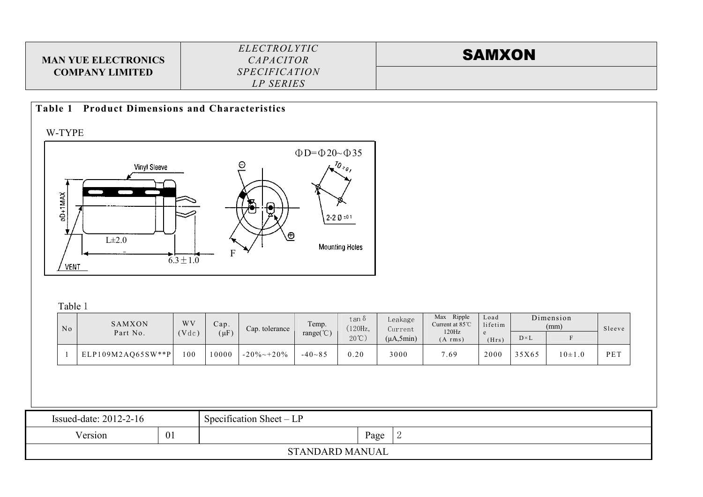| <b>MAN YUE ELECTRONICS</b> | <i>ELECTROLYTIC</i><br><i>CAPACITOR</i> | <b>SAMXON</b> |
|----------------------------|-----------------------------------------|---------------|
| <b>COMPANY LIMITED</b>     | <i>SPECIFICATION</i>                    |               |
|                            | LP SERIES                               |               |

### Table 1 Product Dimensions and Characteristics

W-TYPE



Table 1

| No | SAMXON<br>Part No.  | W <sub>V</sub><br>Vdc | Cap.<br>$(\mu F)$ | Cap. tolerance    | Temp.<br>range $({\rm ^{\circ}C})$ | tan δ<br>'120Hz,<br>$20^{\circ}$ C) | Leakage<br>Current<br>$(\mu A, 5min)$ | Ripple<br>Max<br>Current at $85^{\circ}$ C<br>120Hz<br>$(A \, \text{rms})$ | Load<br>lifetim<br>(Hrs) | $D \times L$ | Dimension<br>(mm) | Sleeve |
|----|---------------------|-----------------------|-------------------|-------------------|------------------------------------|-------------------------------------|---------------------------------------|----------------------------------------------------------------------------|--------------------------|--------------|-------------------|--------|
|    | $ELP109M2AO65SW**P$ | 100                   | 10000             | $-20\% \sim 20\%$ | $-40 - 85$                         | 0.20                                | 3000                                  | 7.69                                                                       | 2000                     | 35X65        | $10 \pm 1.0$      | PET    |

| Issued-date: $2012-2-16$             |  | Specification Sheet – $LP$ |      |  |  |  |  |  |  |
|--------------------------------------|--|----------------------------|------|--|--|--|--|--|--|
| <b>T</b> T<br>Version<br>$U_{\star}$ |  |                            | Page |  |  |  |  |  |  |
| <b>STANDARD MANUAL</b>               |  |                            |      |  |  |  |  |  |  |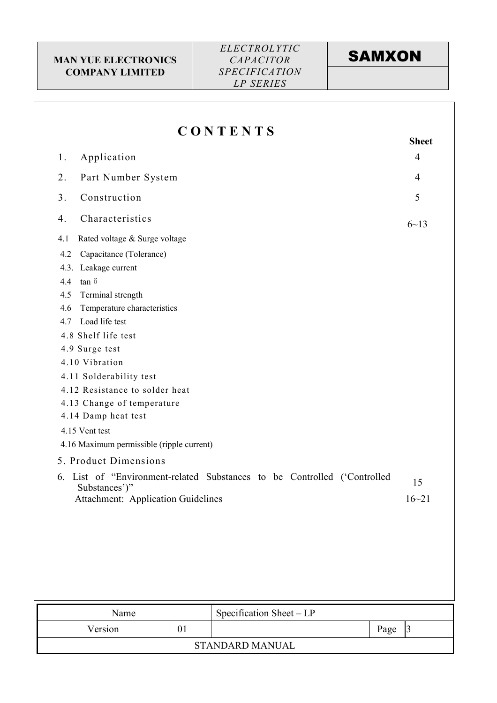# **SAMXON**

|                                                                  |    | CONTENTS                                                                 | <b>Sheet</b>           |
|------------------------------------------------------------------|----|--------------------------------------------------------------------------|------------------------|
| Application<br>1.                                                |    |                                                                          | $\overline{4}$         |
| Part Number System<br>2.                                         |    |                                                                          | 4                      |
| Construction<br>3.                                               |    |                                                                          | 5                      |
| Characteristics<br>4.                                            |    |                                                                          | $6 - 13$               |
| Rated voltage & Surge voltage<br>4.1                             |    |                                                                          |                        |
| Capacitance (Tolerance)<br>4.2<br>4.3. Leakage current           |    |                                                                          |                        |
| $\tan \delta$<br>4.4                                             |    |                                                                          |                        |
| Terminal strength<br>4.5<br>Temperature characteristics<br>4.6   |    |                                                                          |                        |
| Load life test<br>4.7                                            |    |                                                                          |                        |
| 4.8 Shelf life test                                              |    |                                                                          |                        |
| 4.9 Surge test                                                   |    |                                                                          |                        |
| 4.10 Vibration                                                   |    |                                                                          |                        |
| 4.11 Solderability test                                          |    |                                                                          |                        |
| 4.12 Resistance to solder heat                                   |    |                                                                          |                        |
| 4.13 Change of temperature                                       |    |                                                                          |                        |
|                                                                  |    |                                                                          |                        |
| 4.14 Damp heat test                                              |    |                                                                          |                        |
| 4.15 Vent test                                                   |    |                                                                          |                        |
| 4.16 Maximum permissible (ripple current)                        |    |                                                                          |                        |
| 5. Product Dimensions                                            |    |                                                                          |                        |
| 6.<br>Substances')"<br><b>Attachment: Application Guidelines</b> |    | List of "Environment-related Substances to be Controlled<br>('Controlled | 15<br>$16 - 21$        |
|                                                                  |    |                                                                          |                        |
|                                                                  |    |                                                                          |                        |
|                                                                  |    |                                                                          |                        |
|                                                                  |    |                                                                          |                        |
|                                                                  |    |                                                                          |                        |
| Name                                                             |    | Specification Sheet - LP                                                 |                        |
| Version                                                          | 01 |                                                                          | $\overline{3}$<br>Page |

### STANDARD MANUAL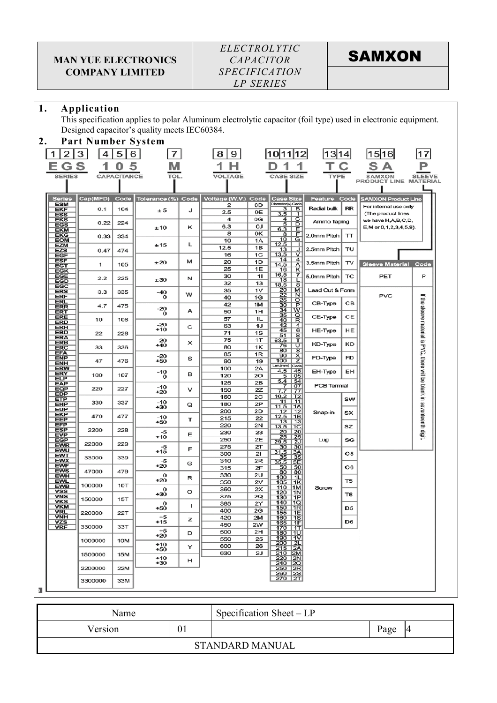### ELECTROLYTIC CAPACITOR **SPECIFICATION** LP SERIES

**SAMXON** 

### 1. Application

This specification applies to polar Aluminum electrolytic capacitor (foil type) used in electronic equipment. Designed capacitor's quality meets IEC60384.

| 2. |                                        | <b>Part Number System</b> |             |                    |   |                                          |                      |                                                                                                                                            |                  |                |                                          |                                                                       |
|----|----------------------------------------|---------------------------|-------------|--------------------|---|------------------------------------------|----------------------|--------------------------------------------------------------------------------------------------------------------------------------------|------------------|----------------|------------------------------------------|-----------------------------------------------------------------------|
|    | 2                                      | 3 <br>4                   | 5           | 6<br>7             |   | 8<br>9                                   |                      | 12 <br>10111                                                                                                                               | 1314             |                | 1516                                     |                                                                       |
|    | G                                      | s                         |             |                    |   |                                          |                      |                                                                                                                                            |                  |                |                                          |                                                                       |
|    | <b>SERIES</b>                          |                           | CAPACITANCE | TOL                |   | VOLTAGE                                  |                      | <b>CASE SIZE</b>                                                                                                                           | TYPE             |                | <b>SAMXON</b><br>PRODUCT LINE MATERIAL   | <b>SLEEVE</b>                                                         |
|    |                                        |                           |             |                    |   |                                          |                      |                                                                                                                                            |                  |                |                                          |                                                                       |
|    | <b>Series</b>                          | Cap(MFD) Code             |             |                    |   | Tolerance (%) Code   Voltage (W.V.) Code |                      | <b>Case Size</b>                                                                                                                           | Feature Code     |                | <b>SAMXON Product Line</b>               |                                                                       |
|    | <b>ESM</b><br>EKF                      | 0.1                       | 104         | ± 5                | J | 2<br>2.5                                 | 0D<br>0E             | Diameter(¢) Code<br>meter(*)<br>Pide & a b d b d b g<br>Pide & a p d b d b g<br>P d H d D d + p g                                          | Radial bulk      | RR             | For internal use only                    |                                                                       |
|    | <b>ESS</b><br>EKS                      | 0.22                      | 224         |                    |   | 4                                        | 0G                   |                                                                                                                                            | Ammo Taping      |                | (The product lines<br>we have H,A,B,C,D, |                                                                       |
|    | EGS<br><b>EKM</b>                      |                           |             | ±10                | κ | 6.3<br>8                                 | OJ<br>0K             |                                                                                                                                            |                  |                | E, M or 0, 1, 2, 3, 4, 5, 9).            |                                                                       |
|    | <b>EKG</b><br><b>EOM</b>               | 0.33                      | 334         |                    | L | 10                                       | 1A                   |                                                                                                                                            | 2.0mm Pitch   TT |                |                                          |                                                                       |
|    | EZM<br><b>EZS</b>                      | 0.47                      | 474         | ±15                |   | 12.5<br>16                               | 1B<br>1C             | $\begin{array}{r} 6.3 \\ \hline 6.3 \\ \hline 10 \\ \hline 12.5 \\ \hline 13.5 \\ \hline 13.5 \\ \hline \end{array}$<br>$\frac{1}{\Delta}$ | 2.5mm Pitch      | тυ             |                                          |                                                                       |
|    | <b>EGF</b><br><b>ESF</b>               | 1                         | 105         | ±20                | м | 20                                       | 1D                   | $\overline{4}$<br><u>14</u><br>14.5                                                                                                        | 3.5mm Pitch      | TV             | Sleeve Material Code                     |                                                                       |
|    | EGT<br><b>EGK</b>                      |                           |             |                    |   | 25<br>30                                 | 1E<br>11             | $\frac{A}{7}$<br><u> 16</u><br>16.5                                                                                                        |                  |                |                                          | P                                                                     |
|    | <b>EGE</b><br>EGD<br>EGC               | 2.2                       | 225         | ±30                | N | 32                                       | 13                   | L<br>18<br>18.5<br>$\bf{8}$                                                                                                                | 5.0mm Pitch      | тc             | PET                                      |                                                                       |
|    | ERS                                    | 3.3                       | 335         | $-40$<br>$\Omega$  | w | 35<br>40                                 | 1 <sub>V</sub><br>1G | M<br>$\overline{\mathbf{N}}$                                                                                                               | Lead Cut & Form  |                | <b>PVC</b>                               | $=$                                                                   |
|    | ERF<br>ERL<br><b>ERR</b>               | 4.7                       | 475         |                    |   | 42                                       | 1M                   | 20225303435<br>d <mark>∞</mark> da a ¤ a ∞ a                                                                                               | CB-Type          | CВ             |                                          |                                                                       |
|    | <b>ERT</b><br><b>ERE</b>               |                           |             | -20<br>$\mathbf 0$ | А | 50<br>57                                 | 1H<br>1L             |                                                                                                                                            | CE-Type          | CE             |                                          |                                                                       |
|    | <b>ERD</b><br>ERH                      | 10                        | 106         | $-20$<br>+10       | с | 63                                       | 1J                   | $\frac{40}{42}$<br>$\frac{45}{51}$                                                                                                         |                  |                |                                          |                                                                       |
|    | <b>EBD</b><br><b>ERA</b>               | 22                        | 226         |                    |   | 71<br>75                                 | 1S<br>1T             |                                                                                                                                            | HE-Type          | HE             |                                          |                                                                       |
|    | ERB<br>ERC                             | 33                        | 336         | $\frac{-20}{+40}$  | × | 80                                       | 1Κ                   | 63.5<br>76<br>80                                                                                                                           | KD-Type          | KD             |                                          |                                                                       |
|    | <b>EFA</b><br><b>ENP</b>               | 47                        | 476         | $\frac{-20}{+50}$  | s | 85<br>90                                 | 1R<br>19             | $rac{\overline{U}}{\overline{X}}$<br>$\frac{90}{100}$                                                                                      | FD-Type          | FD             |                                          |                                                                       |
|    | <b>ENH</b><br><b>ERW</b>               |                           |             |                    |   | 100                                      | 2Α                   | Len.(mm)<br>Code<br>4.5<br>45                                                                                                              | EH-Type          | EH             |                                          |                                                                       |
|    | ERY<br><b>ELP</b>                      | 100                       | 107         | $-10 \n0$          | в | 120<br>125                               | 20<br>2В             | 5<br>05<br>5.4                                                                                                                             |                  |                |                                          |                                                                       |
|    | <b>EAP</b><br><b>EQP</b><br><b>EDP</b> | 220                       | 227         | -10<br>$+20$       | v | 150                                      | 2Ζ                   | $\frac{54}{07}$<br>7.7<br>77                                                                                                               | PCB Termial      |                |                                          |                                                                       |
|    | ETP<br><b>EHP</b>                      | 330                       | 337         | -10                | Q | 160<br>180                               | 2C<br>2P             | 10.2<br>T <sub>2</sub><br>11<br>11                                                                                                         |                  | sw             |                                          |                                                                       |
|    | <b>EUP</b><br>EKP                      |                           |             | $+30$              |   | 200                                      | 2D                   | 11.5<br>1A<br>12                                                                                                                           | Snap-in          | sx             |                                          |                                                                       |
|    | <b>EEP</b><br><b>EFP</b>               | 470                       | 477         | $-10$<br>$+50$     | т | 215<br>220                               | 22<br>2N             | $\frac{12}{12.5}$<br>1B<br>13                                                                                                              |                  |                |                                          |                                                                       |
|    | <b>ESP</b><br><u>EVP</u>               | 2200                      | 228         | $_{+10}^{-5}$      | Е | 230                                      | 23                   | $\frac{13.5}{20}$<br>1 <sub>C</sub>                                                                                                        |                  | sz             |                                          | the sleeve material is PVC, there will be blank in seventeenth digit. |
|    | <b>EGP</b><br><b>EWR</b>               | 22000                     | 229         |                    |   | 250<br>275                               | 2E<br>2Т             | speedba<br>29.5                                                                                                                            | Lug              | SG             |                                          |                                                                       |
|    | <b>EWU</b><br>EWT                      | 33000                     | 339         | $-5$<br>+15        | F | 300                                      | 21                   | $\frac{30}{31.5}$<br>$\frac{37.5}{35}$                                                                                                     |                  | O5             |                                          |                                                                       |
|    | EWX<br><b>EWF</b>                      |                           |             | $+20$              | G | 310<br>315                               | 2R<br>2F             | 35.5<br>$\frac{3E}{50}$                                                                                                                    |                  | O6             |                                          |                                                                       |
|    | <b>EWS</b><br><b>EWH</b><br><b>EWL</b> | 47000                     | 479         | 0<br>$+20$         | R | 330                                      | 2U                   | $\frac{50}{80}$<br>100<br>1L                                                                                                               |                  | T <sub>5</sub> |                                          |                                                                       |
|    | <b>EWB</b><br>VSS                      | 100000                    | <b>10T</b>  | 0                  | O | 350<br>360                               | 2V<br>2X             | 105<br>1K<br>1M<br><u> 110</u><br>120                                                                                                      | Screw            |                |                                          |                                                                       |
|    | VNS<br><b>VKS</b>                      | 150000                    | 15T         | +30<br>0           |   | 375<br>385                               | 2Q<br>2٢             | 1 <sub>N</sub><br>130<br>1P<br>11Q<br>140                                                                                                  |                  | T6             |                                          |                                                                       |
|    | <b>VKM</b><br>VRL                      | 220000                    | 22T         | $+50$              | 1 | 400                                      | 2G                   | 150<br> 1R <br>$155$   1E                                                                                                                  |                  | D <sub>5</sub> |                                          |                                                                       |
|    | VNH<br>vzs                             |                           |             | $+5$<br>+15        | z | 420<br>450                               | 2M<br>2W             | $160$   1S<br>$\frac{165}{170}$ $\frac{1F}{1T}$                                                                                            |                  | D6             |                                          |                                                                       |
|    | <b>VRF</b>                             | 330000                    | 33T         | $+5$<br>$+20$      | D | 500                                      | 2H                   | <u>180   1U</u>                                                                                                                            |                  |                |                                          |                                                                       |
|    |                                        | 1000000                   | 10M         | $+10$              | Y | 550<br>600                               | 25<br>26             | 190   1V                                                                                                                                   |                  |                |                                          |                                                                       |
|    |                                        | 1500000                   | 15M         | $+50$<br>$+10$     |   | 630                                      | 2J                   |                                                                                                                                            |                  |                |                                          |                                                                       |
|    |                                        | 2200000                   | 22M         | $+30$              | н |                                          |                      | 1800 21<br>215 240<br>220 220 240<br>250 250                                                                                               |                  |                |                                          |                                                                       |
|    |                                        |                           |             |                    |   |                                          |                      | $\frac{260}{270}$ $\frac{25}{27}$                                                                                                          |                  |                |                                          |                                                                       |
|    |                                        | 3300000                   | 33M         |                    |   |                                          |                      |                                                                                                                                            |                  |                |                                          |                                                                       |

| Name    |    | Specification Sheet $-LP$ |      |                |
|---------|----|---------------------------|------|----------------|
| Version | 01 |                           | Page | $\overline{4}$ |
|         |    | <b>STANDARD MANUAL</b>    |      |                |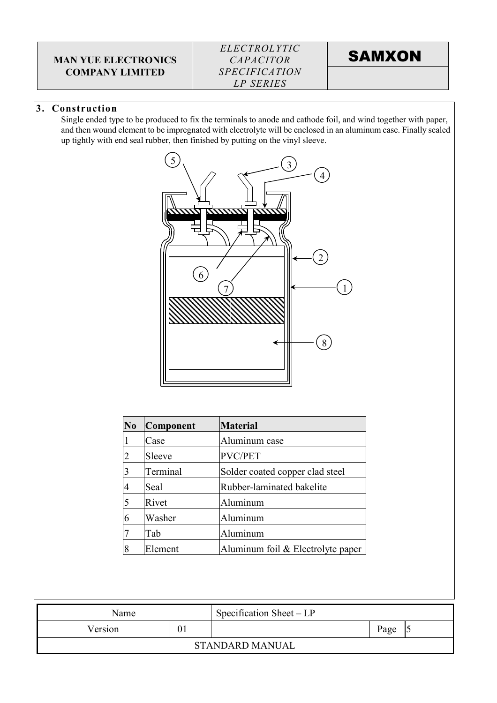### ELECTROLYTIC CAPACITOR **SPECIFICATION** LP SERIES

**SAMXON** 

### 3. Construction

Single ended type to be produced to fix the terminals to anode and cathode foil, and wind together with paper, and then wound element to be impregnated with electrolyte will be enclosed in an aluminum case. Finally sealed up tightly with end seal rubber, then finished by putting on the vinyl sleeve.



| N <sub>0</sub> | Component | <b>Material</b>                     |
|----------------|-----------|-------------------------------------|
|                | Case      | Aluminum case                       |
| $\overline{2}$ | Sleeve    | PVC/PET                             |
| $\overline{3}$ | Terminal  | Solder coated copper clad steel     |
| $\overline{4}$ | Seal      | Rubber-laminated bakelite           |
| 5              | Rivet     | Aluminum                            |
| 6              | Washer    | Aluminum                            |
|                | Tab       | Aluminum                            |
| 8              | Element   | Aluminum foil $&$ Electrolyte paper |

| Name    |    | Specification Sheet $-LP$ |      |  |
|---------|----|---------------------------|------|--|
| Version | 01 |                           | Page |  |
|         |    | <b>STANDARD MANUAL</b>    |      |  |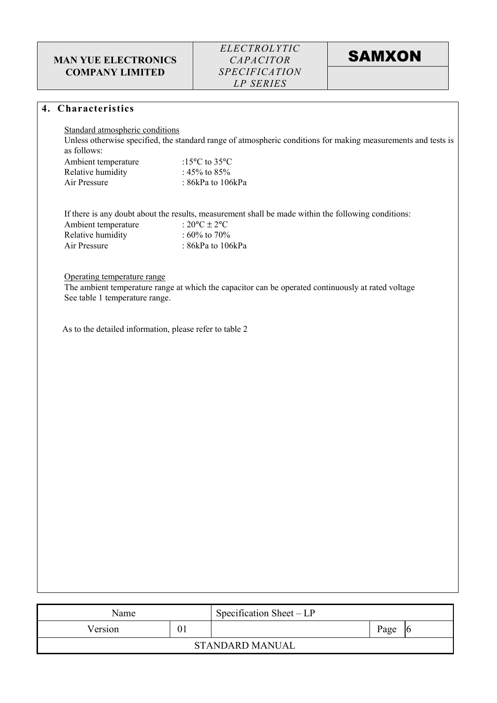**SAMXON** 

#### 4. Characteristics

Standard atmospheric conditions

Unless otherwise specified, the standard range of atmospheric conditions for making measurements and tests is as follows:

| Ambient temperature | :15 $\rm{^{\circ}C}$ to 35 $\rm{^{\circ}C}$ |
|---------------------|---------------------------------------------|
| Relative humidity   | : 45% to 85%                                |
| Air Pressure        | : 86kPa to $106kPa$                         |

If there is any doubt about the results, measurement shall be made within the following conditions:

| Ambient temperature | : $20^{\circ}$ C ± $2^{\circ}$ C |
|---------------------|----------------------------------|
| Relative humidity   | : 60\% to 70\%                   |
| Air Pressure        | : $86kPa$ to $106kPa$            |

#### Operating temperature range

The ambient temperature range at which the capacitor can be operated continuously at rated voltage See table 1 temperature range.

As to the detailed information, please refer to table 2

| Name    |    | Specification Sheet $-LP$ |      |  |
|---------|----|---------------------------|------|--|
| Version | 01 |                           | Page |  |
|         |    | <b>STANDARD MANUAL</b>    |      |  |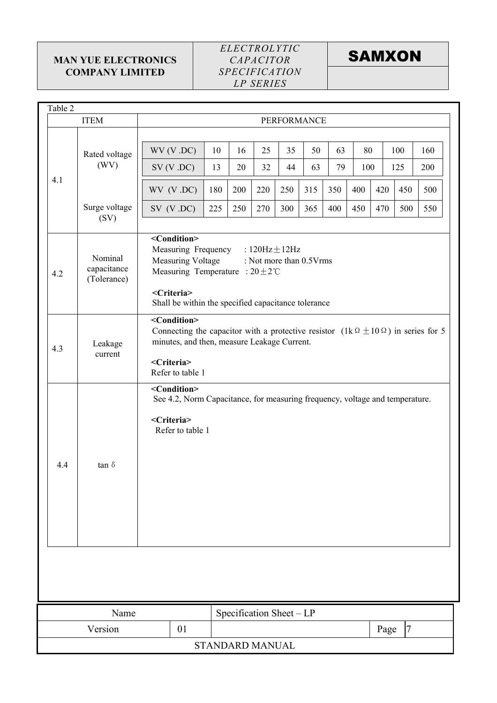### ELECTROLYTIC CAPACITOR **SPECIFICATION** LP SERIES



| Table 2 |                                                                                                                                                                                     |                                                   |                                                                                                                                                                                                                       |                          |          |          |             |          |           |      |                |            |
|---------|-------------------------------------------------------------------------------------------------------------------------------------------------------------------------------------|---------------------------------------------------|-----------------------------------------------------------------------------------------------------------------------------------------------------------------------------------------------------------------------|--------------------------|----------|----------|-------------|----------|-----------|------|----------------|------------|
|         | <b>ITEM</b>                                                                                                                                                                         |                                                   |                                                                                                                                                                                                                       |                          |          |          | PERFORMANCE |          |           |      |                |            |
|         | Rated voltage<br>(WV)                                                                                                                                                               | WV (V.DC)<br>SV (V .DC)                           | 10<br>13                                                                                                                                                                                                              | 16<br>20                 | 25<br>32 | 35<br>44 | 50<br>63    | 63<br>79 | 80<br>100 |      | 100<br>125     | 160<br>200 |
| 4.1     |                                                                                                                                                                                     | WV (V.DC)                                         | 180                                                                                                                                                                                                                   | 200                      | 220      | 250      | 315         | 350      | 400       | 420  | 450            | 500        |
|         | Surge voltage<br>(SV)                                                                                                                                                               | SV (V .DC)                                        | 225                                                                                                                                                                                                                   | 250                      | 270      | 300      | 365         | 400      | 450       | 470  | 500            | 550        |
| 4.2     | Nominal<br>capacitance<br>(Tolerance)                                                                                                                                               | <condition><br/><criteria></criteria></condition> | Measuring Frequency<br>: $120\text{Hz} \pm 12\text{Hz}$<br><b>Measuring Voltage</b><br>: Not more than 0.5Vrms<br>Measuring Temperature : $20 \pm 2^{\circ}$ C<br>Shall be within the specified capacitance tolerance |                          |          |          |             |          |           |      |                |            |
| 4.3     | Leakage<br>current                                                                                                                                                                  | <condition><br/><criteria></criteria></condition> | Connecting the capacitor with a protective resistor $(1k \Omega \pm 10 \Omega)$ in series for 5<br>minutes, and then, measure Leakage Current.<br>Refer to table 1                                                    |                          |          |          |             |          |           |      |                |            |
| 4.4     | <condition><br/>See 4.2, Norm Capacitance, for measuring frequency, voltage and temperature.<br/><criteria><br/>Refer to table 1<br/>tan <math>\delta</math></criteria></condition> |                                                   |                                                                                                                                                                                                                       |                          |          |          |             |          |           |      |                |            |
|         |                                                                                                                                                                                     |                                                   |                                                                                                                                                                                                                       |                          |          |          |             |          |           |      |                |            |
| Name    |                                                                                                                                                                                     |                                                   |                                                                                                                                                                                                                       | Specification Sheet - LP |          |          |             |          |           |      |                |            |
|         | Version                                                                                                                                                                             | 01                                                |                                                                                                                                                                                                                       |                          |          |          |             |          |           | Page | $\overline{7}$ |            |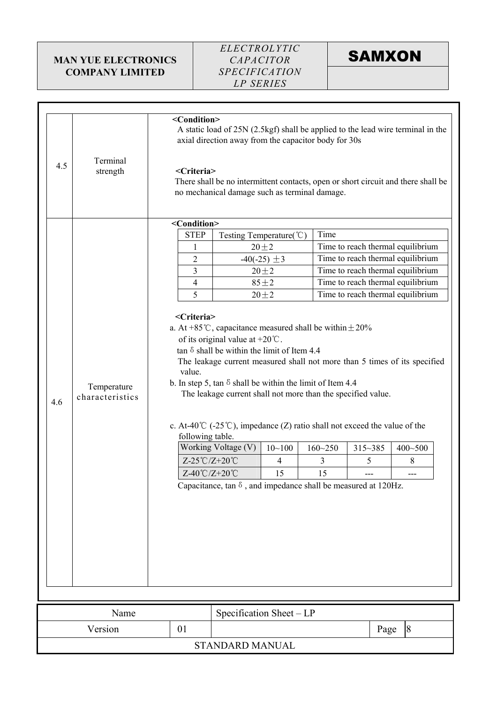### ELECTROLYTIC CAPACITOR **SPECIFICATION** LP SERIES

# **SAMXON**

|     |                                | <condition><br/>A static load of 25N (2.5kgf) shall be applied to the lead wire terminal in the<br/>axial direction away from the capacitor body for 30s</condition>                                                                                                                                                                                                                                                                     |                                                                       |                  |             |             |                                                                                   |  |
|-----|--------------------------------|------------------------------------------------------------------------------------------------------------------------------------------------------------------------------------------------------------------------------------------------------------------------------------------------------------------------------------------------------------------------------------------------------------------------------------------|-----------------------------------------------------------------------|------------------|-------------|-------------|-----------------------------------------------------------------------------------|--|
| 4.5 | Terminal<br>strength           | <criteria></criteria>                                                                                                                                                                                                                                                                                                                                                                                                                    | no mechanical damage such as terminal damage.                         |                  |             |             | There shall be no intermittent contacts, open or short circuit and there shall be |  |
|     |                                | <condition></condition>                                                                                                                                                                                                                                                                                                                                                                                                                  |                                                                       |                  |             |             |                                                                                   |  |
|     |                                | <b>STEP</b>                                                                                                                                                                                                                                                                                                                                                                                                                              | Testing Temperature(°C)                                               |                  | Time        |             |                                                                                   |  |
|     |                                | 1                                                                                                                                                                                                                                                                                                                                                                                                                                        |                                                                       | $20 + 2$         |             |             | Time to reach thermal equilibrium                                                 |  |
|     |                                | 2                                                                                                                                                                                                                                                                                                                                                                                                                                        |                                                                       | $-40(-25) \pm 3$ |             |             | Time to reach thermal equilibrium                                                 |  |
|     |                                | 3                                                                                                                                                                                                                                                                                                                                                                                                                                        |                                                                       | $20 + 2$         |             |             | Time to reach thermal equilibrium                                                 |  |
|     |                                | $\overline{4}$                                                                                                                                                                                                                                                                                                                                                                                                                           |                                                                       | $85 + 2$         |             |             | Time to reach thermal equilibrium                                                 |  |
|     |                                | 5                                                                                                                                                                                                                                                                                                                                                                                                                                        |                                                                       | $20 + 2$         |             |             | Time to reach thermal equilibrium                                                 |  |
| 4.6 | Temperature<br>characteristics | of its original value at $+20^{\circ}\text{C}$ .<br>tan $\delta$ shall be within the limit of Item 4.4<br>The leakage current measured shall not more than 5 times of its specified<br>value.<br>b. In step 5, tan $\delta$ shall be within the limit of Item 4.4<br>The leakage current shall not more than the specified value.<br>c. At-40 <sup>°</sup> C (-25 <sup>°</sup> C), impedance (Z) ratio shall not exceed the value of the |                                                                       |                  |             |             |                                                                                   |  |
|     |                                | following table.                                                                                                                                                                                                                                                                                                                                                                                                                         | Working Voltage (V)                                                   | $10 - 100$       | $160 - 250$ | $315 - 385$ | $400 - 500$                                                                       |  |
|     |                                | Z-25°C/Z+20°C                                                                                                                                                                                                                                                                                                                                                                                                                            |                                                                       | 4                | 3           | 5           | 8                                                                                 |  |
|     |                                | Z-40℃/Z+20℃                                                                                                                                                                                                                                                                                                                                                                                                                              |                                                                       | 15               | 15          | ---         | ---                                                                               |  |
|     |                                |                                                                                                                                                                                                                                                                                                                                                                                                                                          | Capacitance, tan $\delta$ , and impedance shall be measured at 120Hz. |                  |             |             |                                                                                   |  |
|     |                                |                                                                                                                                                                                                                                                                                                                                                                                                                                          |                                                                       |                  |             |             |                                                                                   |  |
|     |                                |                                                                                                                                                                                                                                                                                                                                                                                                                                          |                                                                       |                  |             |             |                                                                                   |  |
|     | Name                           |                                                                                                                                                                                                                                                                                                                                                                                                                                          | Specification Sheet - LP                                              |                  |             |             |                                                                                   |  |
|     | Version                        | 01                                                                                                                                                                                                                                                                                                                                                                                                                                       |                                                                       |                  |             | Page        | $\sqrt{8}$                                                                        |  |

STANDARD MANUAL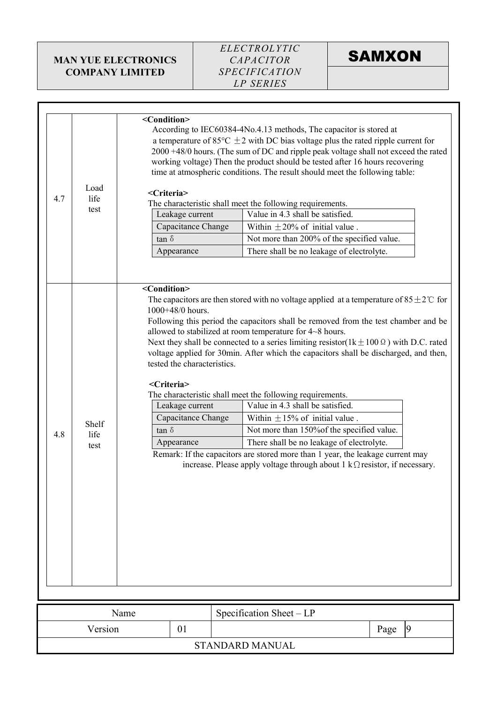

| 4.7 | Load<br>life<br>test  | <condition><br/><criteria><br/><math>\tan \delta</math></criteria></condition>                                                                                                                                                                                                                                                                                                                                                                                                                                                                                                                                                                                                                                                                                                                                                                                                                                                                                                                                                                                                                                                                                            | Leakage current<br>Capacitance Change |  | According to IEC60384-4No.4.13 methods, The capacitor is stored at<br>a temperature of 85 $\degree$ C $\pm$ 2 with DC bias voltage plus the rated ripple current for<br>2000 +48/0 hours. (The sum of DC and ripple peak voltage shall not exceed the rated<br>working voltage) Then the product should be tested after 16 hours recovering<br>time at atmospheric conditions. The result should meet the following table:<br>The characteristic shall meet the following requirements.<br>Value in 4.3 shall be satisfied.<br>Within $\pm 20\%$ of initial value.<br>Not more than 200% of the specified value. |  |      |                |
|-----|-----------------------|---------------------------------------------------------------------------------------------------------------------------------------------------------------------------------------------------------------------------------------------------------------------------------------------------------------------------------------------------------------------------------------------------------------------------------------------------------------------------------------------------------------------------------------------------------------------------------------------------------------------------------------------------------------------------------------------------------------------------------------------------------------------------------------------------------------------------------------------------------------------------------------------------------------------------------------------------------------------------------------------------------------------------------------------------------------------------------------------------------------------------------------------------------------------------|---------------------------------------|--|------------------------------------------------------------------------------------------------------------------------------------------------------------------------------------------------------------------------------------------------------------------------------------------------------------------------------------------------------------------------------------------------------------------------------------------------------------------------------------------------------------------------------------------------------------------------------------------------------------------|--|------|----------------|
| 4.8 | Shelf<br>life<br>test | There shall be no leakage of electrolyte.<br>Appearance<br><condition><br/>The capacitors are then stored with no voltage applied at a temperature of <math>85 \pm 2^{\circ}</math> for<br/>1000+48/0 hours.<br/>Following this period the capacitors shall be removed from the test chamber and be<br/>allowed to stabilized at room temperature for 4~8 hours.<br/>Next they shall be connected to a series limiting resistor(<math>1k \pm 100 \Omega</math>) with D.C. rated<br/>voltage applied for 30min. After which the capacitors shall be discharged, and then,<br/>tested the characteristics.<br/><criteria><br/>The characteristic shall meet the following requirements.<br/>Value in 4.3 shall be satisfied.<br/>Leakage current<br/>Capacitance Change<br/>Within <math>\pm</math> 15% of initial value.<br/><math>tan \delta</math><br/>Not more than 150% of the specified value.<br/>There shall be no leakage of electrolyte.<br/>Appearance<br/>Remark: If the capacitors are stored more than 1 year, the leakage current may<br/>increase. Please apply voltage through about 1 k<math>\Omega</math> resistor, if necessary.</criteria></condition> |                                       |  |                                                                                                                                                                                                                                                                                                                                                                                                                                                                                                                                                                                                                  |  |      |                |
|     |                       | Name                                                                                                                                                                                                                                                                                                                                                                                                                                                                                                                                                                                                                                                                                                                                                                                                                                                                                                                                                                                                                                                                                                                                                                      |                                       |  | Specification Sheet - LP                                                                                                                                                                                                                                                                                                                                                                                                                                                                                                                                                                                         |  |      |                |
|     | Version               |                                                                                                                                                                                                                                                                                                                                                                                                                                                                                                                                                                                                                                                                                                                                                                                                                                                                                                                                                                                                                                                                                                                                                                           | 01                                    |  |                                                                                                                                                                                                                                                                                                                                                                                                                                                                                                                                                                                                                  |  | Page | $\overline{9}$ |

STANDARD MANUAL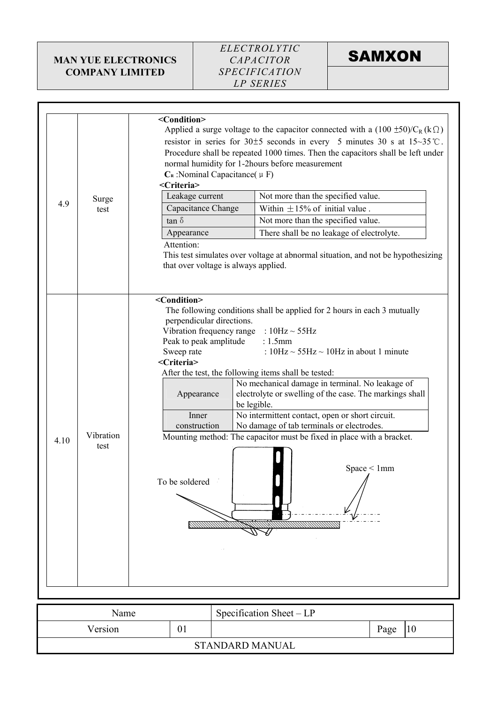

# **SAMXON**

| 4.9  | Surge<br>test     | Applied a surge voltage to the capacitor connected with a $(100 \pm 50)/C_R$ (k $\Omega$ )<br>resistor in series for $30\pm5$ seconds in every 5 minutes 30 s at $15\sim35$ °C.<br>Procedure shall be repeated 1000 times. Then the capacitors shall be left under<br>normal humidity for 1-2hours before measurement<br>$C_R$ : Nominal Capacitance( $\mu$ F)<br><criteria><br/>Leakage current<br/>Not more than the specified value.<br/>Capacitance Change<br/>Within <math>\pm</math> 15% of initial value.<br/>tan <math>\delta</math><br/>Not more than the specified value.<br/>Appearance<br/>There shall be no leakage of electrolyte.<br/>Attention:<br/>This test simulates over voltage at abnormal situation, and not be hypothesizing<br/>that over voltage is always applied.<br/><condition></condition></criteria> |
|------|-------------------|--------------------------------------------------------------------------------------------------------------------------------------------------------------------------------------------------------------------------------------------------------------------------------------------------------------------------------------------------------------------------------------------------------------------------------------------------------------------------------------------------------------------------------------------------------------------------------------------------------------------------------------------------------------------------------------------------------------------------------------------------------------------------------------------------------------------------------------|
| 4.10 | Vibration<br>test | The following conditions shall be applied for 2 hours in each 3 mutually<br>perpendicular directions.<br>Vibration frequency range : $10\text{Hz} \sim 55\text{Hz}$<br>Peak to peak amplitude<br>$: 1.5$ mm<br>Sweep rate<br>: $10Hz \sim 55Hz \sim 10Hz$ in about 1 minute<br><criteria><br/>After the test, the following items shall be tested:<br/>No mechanical damage in terminal. No leakage of<br/>electrolyte or swelling of the case. The markings shall<br/>Appearance<br/>be legible.<br/>No intermittent contact, open or short circuit.<br/>Inner<br/>No damage of tab terminals or electrodes.<br/>construction<br/>Mounting method: The capacitor must be fixed in place with a bracket.<br/>Space &lt; 1mm<br/><math>\sqrt{ }</math><br/>To be soldered</criteria>                                                  |
|      |                   |                                                                                                                                                                                                                                                                                                                                                                                                                                                                                                                                                                                                                                                                                                                                                                                                                                      |

| Name    |    | Specification Sheet – LP |      |  |
|---------|----|--------------------------|------|--|
| Version | 01 |                          | Page |  |
|         |    |                          |      |  |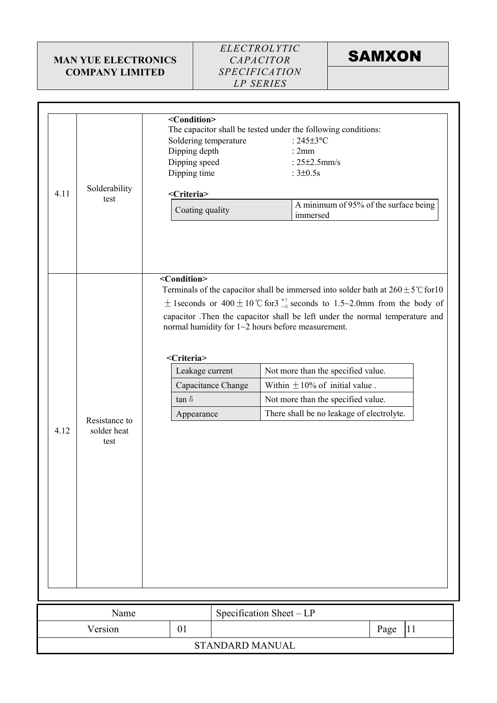### ELECTROLYTIC CAPACITOR **SPECIFICATION** LP SERIES



|      |                       | <condition></condition> |                                                                                                                                                                                                                                    |                                     |  |  |
|------|-----------------------|-------------------------|------------------------------------------------------------------------------------------------------------------------------------------------------------------------------------------------------------------------------------|-------------------------------------|--|--|
|      |                       |                         | The capacitor shall be tested under the following conditions:                                                                                                                                                                      |                                     |  |  |
|      |                       | Soldering temperature   | : $245\pm3$ °C                                                                                                                                                                                                                     |                                     |  |  |
|      |                       | Dipping depth           | :2mm                                                                                                                                                                                                                               |                                     |  |  |
|      |                       | Dipping speed           | : $25\pm2.5$ mm/s                                                                                                                                                                                                                  |                                     |  |  |
|      |                       |                         |                                                                                                                                                                                                                                    |                                     |  |  |
|      |                       | Dipping time            | : $3\pm0.5s$                                                                                                                                                                                                                       |                                     |  |  |
| 4.11 | Solderability<br>test | <criteria></criteria>   |                                                                                                                                                                                                                                    |                                     |  |  |
|      |                       | Coating quality         | A minimum of 95% of the surface being<br>immersed                                                                                                                                                                                  |                                     |  |  |
|      |                       | <condition></condition> | Terminals of the capacitor shall be immersed into solder bath at $260 \pm 5^{\circ}$ C for 10                                                                                                                                      |                                     |  |  |
|      |                       |                         | $\pm$ 1 seconds or 400 $\pm$ 10 °C for 3 $^{+1}_{-0}$ seconds to 1.5~2.0mm from the body of<br>capacitor .Then the capacitor shall be left under the normal temperature and<br>normal humidity for $1~2$ hours before measurement. |                                     |  |  |
|      |                       | <criteria></criteria>   |                                                                                                                                                                                                                                    |                                     |  |  |
|      |                       | Leakage current         | Not more than the specified value.                                                                                                                                                                                                 |                                     |  |  |
|      |                       | Capacitance Change      |                                                                                                                                                                                                                                    | Within $\pm 10\%$ of initial value. |  |  |
|      |                       | tan $\delta$            |                                                                                                                                                                                                                                    | Not more than the specified value.  |  |  |
|      | Resistance to         | Appearance              | There shall be no leakage of electrolyte.                                                                                                                                                                                          |                                     |  |  |
| 4.12 | solder heat<br>test   |                         |                                                                                                                                                                                                                                    |                                     |  |  |
|      | Name                  |                         | Specification Sheet - LP                                                                                                                                                                                                           |                                     |  |  |
|      | Version               |                         |                                                                                                                                                                                                                                    |                                     |  |  |

STANDARD MANUAL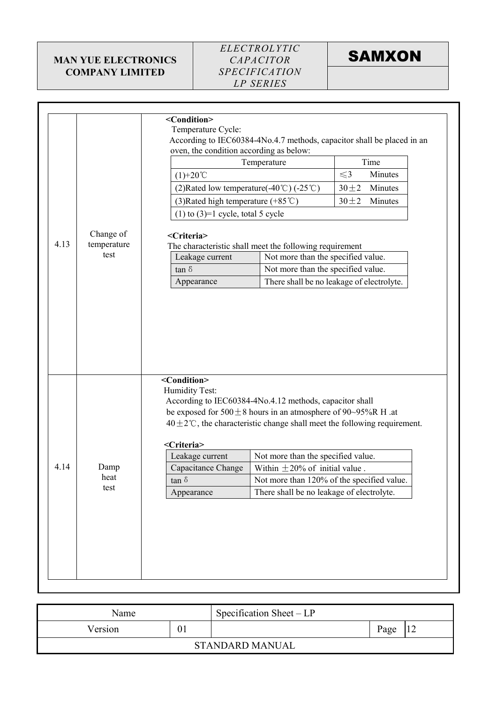### ELECTROLYTIC CAPACITOR **SPECIFICATION** LP SERIES



| 4.13 | Change of<br>temperature<br>test | <condition><br/>Temperature Cycle:<br/>According to IEC60384-4No.4.7 methods, capacitor shall be placed in an<br/>oven, the condition according as below:<br/>Time<br/>Temperature<br/>Minutes<br/><math>\leq</math>3<br/><math>(1)+20^{\circ}</math>C<br/>(2) Rated low temperature <math>(-40^{\circ}\text{C})</math> <math>(-25^{\circ}\text{C})</math><br/>Minutes<br/><math>30 + 2</math><br/>(3) Rated high temperature <math>(+85^{\circ}\text{C})</math><br/><math>30 + 2</math><br/>Minutes<br/><math>(1)</math> to <math>(3)=1</math> cycle, total 5 cycle<br/><criteria><br/>The characteristic shall meet the following requirement<br/>Not more than the specified value.<br/>Leakage current<br/>Not more than the specified value.<br/>tan <math>\delta</math><br/>There shall be no leakage of electrolyte.<br/>Appearance</criteria></condition> |
|------|----------------------------------|-------------------------------------------------------------------------------------------------------------------------------------------------------------------------------------------------------------------------------------------------------------------------------------------------------------------------------------------------------------------------------------------------------------------------------------------------------------------------------------------------------------------------------------------------------------------------------------------------------------------------------------------------------------------------------------------------------------------------------------------------------------------------------------------------------------------------------------------------------------------|
| 4.14 | Damp<br>heat<br>test             | <condition><br/>Humidity Test:<br/>According to IEC60384-4No.4.12 methods, capacitor shall<br/>be exposed for <math>500 \pm 8</math> hours in an atmosphere of 90~95%R H .at<br/><math>40 \pm 2^{\circ}</math>C, the characteristic change shall meet the following requirement.<br/><criteria><br/>Leakage current<br/>Not more than the specified value.<br/>Within <math>\pm 20\%</math> of initial value.<br/>Capacitance Change<br/>Not more than 120% of the specified value.<br/><math>\tan \delta</math><br/>There shall be no leakage of electrolyte.<br/>Appearance</criteria></condition>                                                                                                                                                                                                                                                              |

| Name            |    | Specification Sheet $-LP$ |      |  |  |
|-----------------|----|---------------------------|------|--|--|
| Version         | 01 |                           | Page |  |  |
| STANDARD MANUAL |    |                           |      |  |  |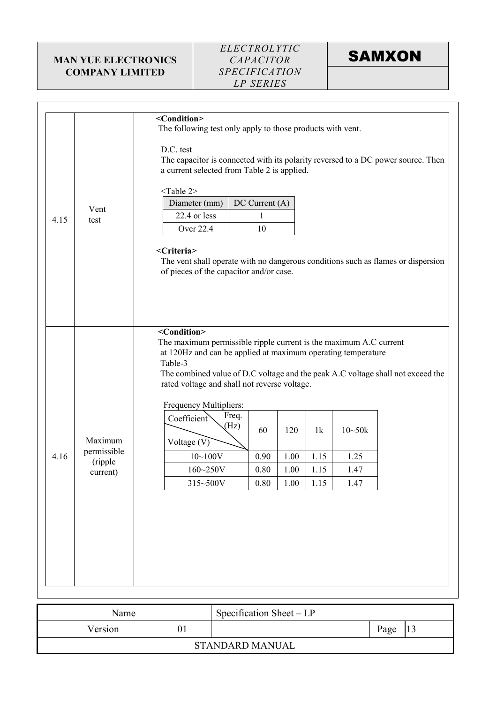### ELECTROLYTIC CAPACITOR **SPECIFICATION** LP SERIES



|      |                        | <condition></condition>                                                                                                           |  |  |  |  |  |  |  |
|------|------------------------|-----------------------------------------------------------------------------------------------------------------------------------|--|--|--|--|--|--|--|
|      |                        | The following test only apply to those products with vent.                                                                        |  |  |  |  |  |  |  |
|      |                        | D.C. test                                                                                                                         |  |  |  |  |  |  |  |
|      |                        | The capacitor is connected with its polarity reversed to a DC power source. Then                                                  |  |  |  |  |  |  |  |
|      |                        | a current selected from Table 2 is applied.                                                                                       |  |  |  |  |  |  |  |
|      |                        | <table 2=""></table>                                                                                                              |  |  |  |  |  |  |  |
|      | Vent                   | $DC$ Current $(A)$<br>Diameter (mm)                                                                                               |  |  |  |  |  |  |  |
| 4.15 | test                   | 22.4 or less<br>1                                                                                                                 |  |  |  |  |  |  |  |
|      |                        | <b>Over 22.4</b><br>10                                                                                                            |  |  |  |  |  |  |  |
|      |                        | <criteria></criteria>                                                                                                             |  |  |  |  |  |  |  |
|      |                        | The vent shall operate with no dangerous conditions such as flames or dispersion                                                  |  |  |  |  |  |  |  |
|      |                        | of pieces of the capacitor and/or case.                                                                                           |  |  |  |  |  |  |  |
|      |                        |                                                                                                                                   |  |  |  |  |  |  |  |
|      |                        |                                                                                                                                   |  |  |  |  |  |  |  |
|      |                        |                                                                                                                                   |  |  |  |  |  |  |  |
|      |                        | <condition></condition>                                                                                                           |  |  |  |  |  |  |  |
|      |                        | The maximum permissible ripple current is the maximum A.C current<br>at 120Hz and can be applied at maximum operating temperature |  |  |  |  |  |  |  |
|      |                        | Table-3                                                                                                                           |  |  |  |  |  |  |  |
|      |                        | The combined value of D.C voltage and the peak A.C voltage shall not exceed the                                                   |  |  |  |  |  |  |  |
|      |                        | rated voltage and shall not reverse voltage.                                                                                      |  |  |  |  |  |  |  |
|      |                        | Frequency Multipliers:                                                                                                            |  |  |  |  |  |  |  |
|      |                        | Freq.<br>Coefficient                                                                                                              |  |  |  |  |  |  |  |
|      |                        | (Hz)<br>60<br>120<br>1k<br>$10 - 50k$                                                                                             |  |  |  |  |  |  |  |
|      | Maximum<br>permissible | Voltage $(V)$                                                                                                                     |  |  |  |  |  |  |  |
| 4.16 | (ripple                | 1.15<br>$10 - 100V$<br>0.90<br>1.00<br>1.25                                                                                       |  |  |  |  |  |  |  |
|      | current)               | $160 - 250V$<br>0.80<br>1.00<br>1.15<br>1.47                                                                                      |  |  |  |  |  |  |  |
|      |                        | 315~500V<br>1.00<br>0.80<br>1.15<br>1.47                                                                                          |  |  |  |  |  |  |  |
|      |                        |                                                                                                                                   |  |  |  |  |  |  |  |
|      |                        |                                                                                                                                   |  |  |  |  |  |  |  |
|      |                        |                                                                                                                                   |  |  |  |  |  |  |  |
|      |                        |                                                                                                                                   |  |  |  |  |  |  |  |
|      |                        |                                                                                                                                   |  |  |  |  |  |  |  |
|      |                        |                                                                                                                                   |  |  |  |  |  |  |  |
|      |                        |                                                                                                                                   |  |  |  |  |  |  |  |
|      |                        |                                                                                                                                   |  |  |  |  |  |  |  |

| Name          |  | Specification Sheet $-LP$ |      |    |
|---------------|--|---------------------------|------|----|
| 01<br>Version |  |                           | Page | IJ |
|               |  | STANDARD MANUAL           |      |    |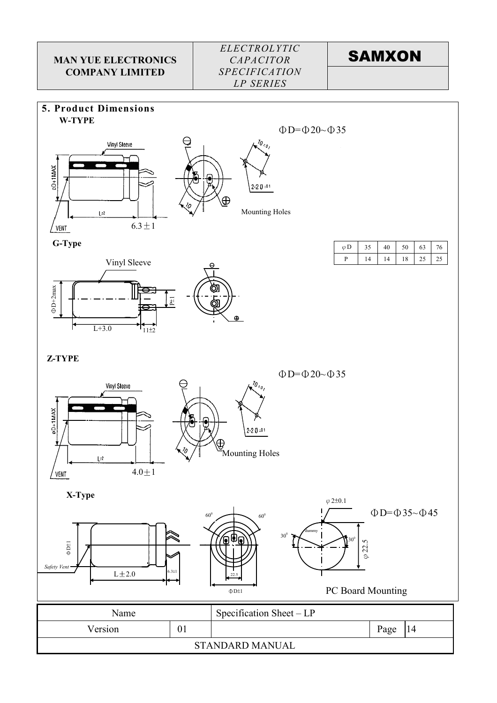# **SAMXON**

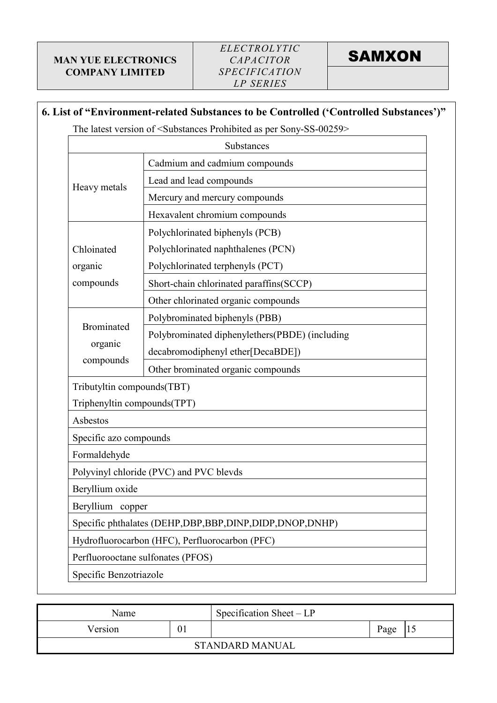### 6. List of "Environment-related Substances to be Controlled ('Controlled Substances')"

The latest version of <Substances Prohibited as per Sony-SS-00259>

|                                                | Substances                                                   |  |  |  |  |  |  |
|------------------------------------------------|--------------------------------------------------------------|--|--|--|--|--|--|
|                                                | Cadmium and cadmium compounds                                |  |  |  |  |  |  |
| Heavy metals                                   | Lead and lead compounds                                      |  |  |  |  |  |  |
|                                                | Mercury and mercury compounds                                |  |  |  |  |  |  |
|                                                | Hexavalent chromium compounds                                |  |  |  |  |  |  |
|                                                | Polychlorinated biphenyls (PCB)                              |  |  |  |  |  |  |
| Chloinated                                     | Polychlorinated naphthalenes (PCN)                           |  |  |  |  |  |  |
| organic                                        | Polychlorinated terphenyls (PCT)                             |  |  |  |  |  |  |
| compounds                                      | Short-chain chlorinated paraffins(SCCP)                      |  |  |  |  |  |  |
|                                                | Other chlorinated organic compounds                          |  |  |  |  |  |  |
|                                                | Polybrominated biphenyls (PBB)                               |  |  |  |  |  |  |
| <b>Brominated</b>                              | Polybrominated diphenylethers(PBDE) (including               |  |  |  |  |  |  |
| organic                                        | decabromodiphenyl ether[DecaBDE])                            |  |  |  |  |  |  |
| compounds                                      | Other brominated organic compounds                           |  |  |  |  |  |  |
| Tributyltin compounds(TBT)                     |                                                              |  |  |  |  |  |  |
| Triphenyltin compounds(TPT)                    |                                                              |  |  |  |  |  |  |
| Asbestos                                       |                                                              |  |  |  |  |  |  |
| Specific azo compounds                         |                                                              |  |  |  |  |  |  |
| Formaldehyde                                   |                                                              |  |  |  |  |  |  |
|                                                | Polyvinyl chloride (PVC) and PVC blevds                      |  |  |  |  |  |  |
| Beryllium oxide                                |                                                              |  |  |  |  |  |  |
| Beryllium copper                               |                                                              |  |  |  |  |  |  |
|                                                | Specific phthalates (DEHP, DBP, BBP, DINP, DIDP, DNOP, DNHP) |  |  |  |  |  |  |
| Hydrofluorocarbon (HFC), Perfluorocarbon (PFC) |                                                              |  |  |  |  |  |  |
| Perfluorooctane sulfonates (PFOS)              |                                                              |  |  |  |  |  |  |
| Specific Benzotriazole                         |                                                              |  |  |  |  |  |  |

| Name    |  | Specification Sheet $-LP$ |  |  |
|---------|--|---------------------------|--|--|
| Version |  | Page<br>I S               |  |  |
|         |  | <b>STANDARD MANUAL</b>    |  |  |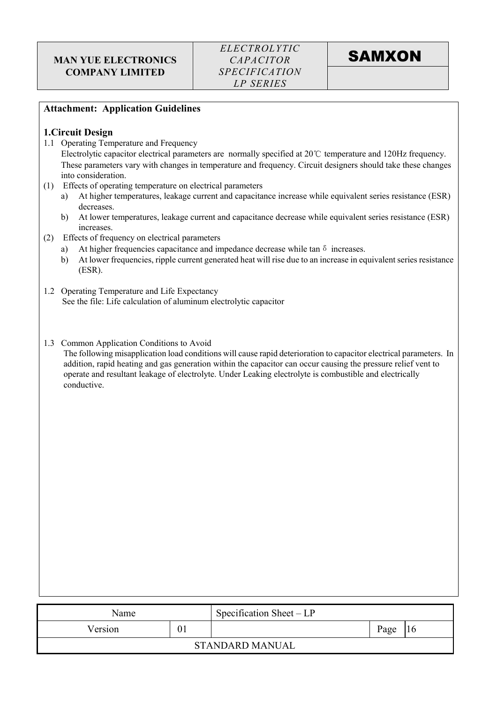

#### Attachment: Application Guidelines

#### 1.Circuit Design

1.1 Operating Temperature and Frequency

 Electrolytic capacitor electrical parameters are normally specified at 20℃ temperature and 120Hz frequency. These parameters vary with changes in temperature and frequency. Circuit designers should take these changes into consideration.

- (1) Effects of operating temperature on electrical parameters
	- a) At higher temperatures, leakage current and capacitance increase while equivalent series resistance (ESR) decreases.
	- b) At lower temperatures, leakage current and capacitance decrease while equivalent series resistance (ESR) increases.
- (2) Effects of frequency on electrical parameters
	- a) At higher frequencies capacitance and impedance decrease while tan  $\delta$  increases.
	- b) At lower frequencies, ripple current generated heat will rise due to an increase in equivalent series resistance (ESR).
- 1.2 Operating Temperature and Life Expectancy See the file: Life calculation of aluminum electrolytic capacitor
- 1.3 Common Application Conditions to Avoid

The following misapplication load conditions will cause rapid deterioration to capacitor electrical parameters. In addition, rapid heating and gas generation within the capacitor can occur causing the pressure relief vent to operate and resultant leakage of electrolyte. Under Leaking electrolyte is combustible and electrically conductive.

| Name          |  | Specification Sheet – LP |      |  |
|---------------|--|--------------------------|------|--|
| Version<br>01 |  |                          | Page |  |
|               |  | <b>STANDARD MANUAL</b>   |      |  |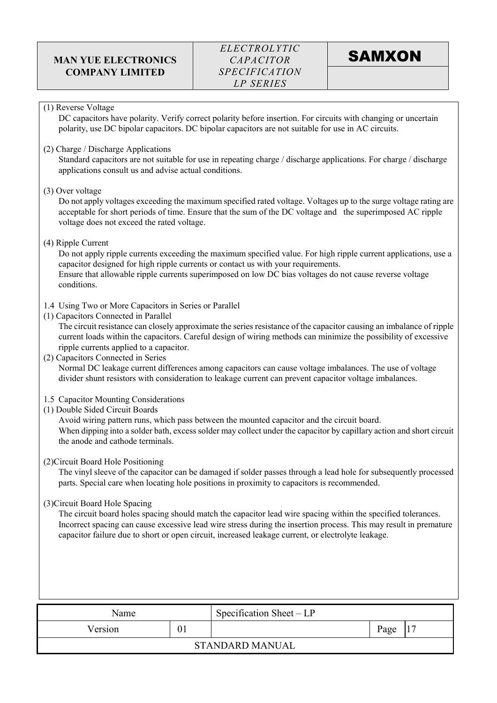#### (1) Reverse Voltage

DC capacitors have polarity. Verify correct polarity before insertion. For circuits with changing or uncertain polarity, use DC bipolar capacitors. DC bipolar capacitors are not suitable for use in AC circuits.

(2) Charge / Discharge Applications

Standard capacitors are not suitable for use in repeating charge / discharge applications. For charge / discharge applications consult us and advise actual conditions.

#### (3) Over voltage

Do not apply voltages exceeding the maximum specified rated voltage. Voltages up to the surge voltage rating are acceptable for short periods of time. Ensure that the sum of the DC voltage and the superimposed AC ripple voltage does not exceed the rated voltage.

(4) Ripple Current

Do not apply ripple currents exceeding the maximum specified value. For high ripple current applications, use a capacitor designed for high ripple currents or contact us with your requirements. Ensure that allowable ripple currents superimposed on low DC bias voltages do not cause reverse voltage conditions.

- 1.4 Using Two or More Capacitors in Series or Parallel
- (1) Capacitors Connected in Parallel

The circuit resistance can closely approximate the series resistance of the capacitor causing an imbalance of ripple current loads within the capacitors. Careful design of wiring methods can minimize the possibility of excessive ripple currents applied to a capacitor.

- (2) Capacitors Connected in Series Normal DC leakage current differences among capacitors can cause voltage imbalances. The use of voltage divider shunt resistors with consideration to leakage current can prevent capacitor voltage imbalances.
- 1.5 Capacitor Mounting Considerations
- (1) Double Sided Circuit Boards

Avoid wiring pattern runs, which pass between the mounted capacitor and the circuit board. When dipping into a solder bath, excess solder may collect under the capacitor by capillary action and short circuit the anode and cathode terminals.

#### (2)Circuit Board Hole Positioning

The vinyl sleeve of the capacitor can be damaged if solder passes through a lead hole for subsequently processed parts. Special care when locating hole positions in proximity to capacitors is recommended.

(3)Circuit Board Hole Spacing

The circuit board holes spacing should match the capacitor lead wire spacing within the specified tolerances. Incorrect spacing can cause excessive lead wire stress during the insertion process. This may result in premature capacitor failure due to short or open circuit, increased leakage current, or electrolyte leakage.

| Name    |            | Specification Sheet $-LP$ |  |  |
|---------|------------|---------------------------|--|--|
| Version | 01<br>Page |                           |  |  |
|         |            | <b>STANDARD MANUAL</b>    |  |  |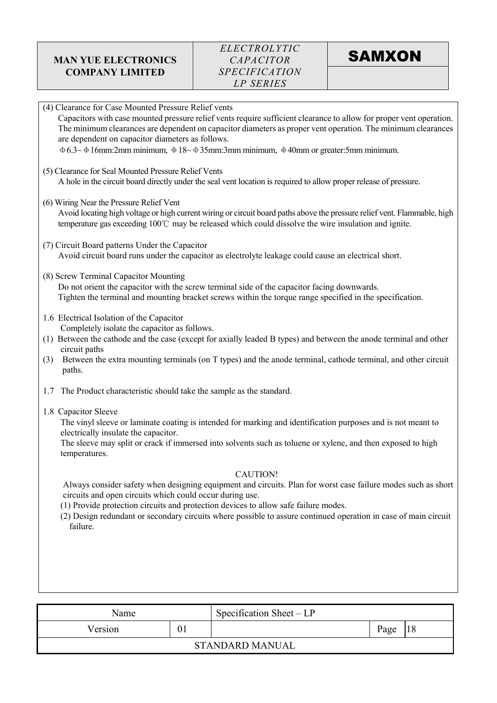| (4) Clearance for Case Mounted Pressure Relief vents<br>Capacitors with case mounted pressure relief vents require sufficient clearance to allow for proper vent operation.<br>The minimum clearances are dependent on capacitor diameters as proper vent operation. The minimum clearances<br>are dependent on capacitor diameters as follows.<br>$\phi$ 6.3~ $\phi$ 16mm:2mm minimum, $\phi$ 18~ $\phi$ 35mm:3mm minimum, $\phi$ 40mm or greater:5mm minimum. |
|-----------------------------------------------------------------------------------------------------------------------------------------------------------------------------------------------------------------------------------------------------------------------------------------------------------------------------------------------------------------------------------------------------------------------------------------------------------------|
| (5) Clearance for Seal Mounted Pressure Relief Vents<br>A hole in the circuit board directly under the seal vent location is required to allow proper release of pressure.                                                                                                                                                                                                                                                                                      |
| (6) Wiring Near the Pressure Relief Vent<br>Avoid locating high voltage or high current wiring or circuit board paths above the pressure relief vent. Flammable, high<br>temperature gas exceeding 100°C may be released which could dissolve the wire insulation and ignite.                                                                                                                                                                                   |
| (7) Circuit Board patterns Under the Capacitor<br>Avoid circuit board runs under the capacitor as electrolyte leakage could cause an electrical short.                                                                                                                                                                                                                                                                                                          |
| (8) Screw Terminal Capacitor Mounting<br>Do not orient the capacitor with the screw terminal side of the capacitor facing downwards.<br>Tighten the terminal and mounting bracket screws within the torque range specified in the specification.                                                                                                                                                                                                                |
| 1.6 Electrical Isolation of the Capacitor<br>Completely isolate the capacitor as follows.<br>(1) Between the cathode and the case (except for axially leaded B types) and between the anode terminal and other<br>circuit paths<br>Between the extra mounting terminals (on T types) and the anode terminal, cathode terminal, and other circuit<br>(3)<br>paths.                                                                                               |
| The Product characteristic should take the sample as the standard.<br>1.7                                                                                                                                                                                                                                                                                                                                                                                       |
| 1.8 Capacitor Sleeve<br>The vinyl sleeve or laminate coating is intended for marking and identification purposes and is not meant to<br>electrically insulate the capacitor.<br>The sleeve may split or crack if immersed into solvents such as toluene or xylene, and then exposed to high<br>temperatures.                                                                                                                                                    |
| <b>CAUTION!</b><br>Always consider safety when designing equipment and circuits. Plan for worst case failure modes such as short<br>circuits and open circuits which could occur during use.<br>(1) Provide protection circuits and protection devices to allow safe failure modes.<br>(2) Design redundant or secondary circuits where possible to assure continued operation in case of main circuit<br>failure.                                              |
|                                                                                                                                                                                                                                                                                                                                                                                                                                                                 |

| Name          |  | Specification Sheet $-LP$ |      |  |
|---------------|--|---------------------------|------|--|
| Version<br>01 |  |                           | Page |  |
|               |  | <b>STANDARD MANUAL</b>    |      |  |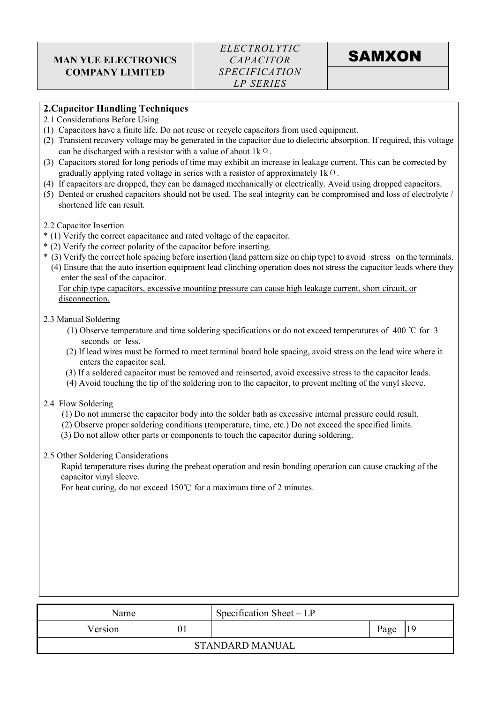### 2.Capacitor Handling Techniques

- 2.1 Considerations Before Using
- (1) Capacitors have a finite life. Do not reuse or recycle capacitors from used equipment.
- (2) Transient recovery voltage may be generated in the capacitor due to dielectric absorption. If required, this voltage can be discharged with a resistor with a value of about  $1k\Omega$ .
- (3) Capacitors stored for long periods of time may exhibit an increase in leakage current. This can be corrected by gradually applying rated voltage in series with a resistor of approximately  $1k\Omega$ .
- (4) If capacitors are dropped, they can be damaged mechanically or electrically. Avoid using dropped capacitors.
- (5) Dented or crushed capacitors should not be used. The seal integrity can be compromised and loss of electrolyte / shortened life can result.
- 2.2 Capacitor Insertion
- \* (1) Verify the correct capacitance and rated voltage of the capacitor.
- \* (2) Verify the correct polarity of the capacitor before inserting.
- \* (3) Verify the correct hole spacing before insertion (land pattern size on chip type) to avoid stress on the terminals. (4) Ensure that the auto insertion equipment lead clinching operation does not stress the capacitor leads where they enter the seal of the capacitor.

For chip type capacitors, excessive mounting pressure can cause high leakage current, short circuit, or disconnection.

#### 2.3 Manual Soldering

- (1) Observe temperature and time soldering specifications or do not exceed temperatures of 400 ℃ for 3 seconds or less.
- (2) If lead wires must be formed to meet terminal board hole spacing, avoid stress on the lead wire where it enters the capacitor seal.
- (3) If a soldered capacitor must be removed and reinserted, avoid excessive stress to the capacitor leads.
- (4) Avoid touching the tip of the soldering iron to the capacitor, to prevent melting of the vinyl sleeve.

#### 2.4 Flow Soldering

- (1) Do not immerse the capacitor body into the solder bath as excessive internal pressure could result.
- (2) Observe proper soldering conditions (temperature, time, etc.) Do not exceed the specified limits.
- (3) Do not allow other parts or components to touch the capacitor during soldering.

#### 2.5 Other Soldering Considerations

Rapid temperature rises during the preheat operation and resin bonding operation can cause cracking of the capacitor vinyl sleeve.

For heat curing, do not exceed 150℃ for a maximum time of 2 minutes.

| Name          |  | Specification Sheet $-LP$ |    |  |
|---------------|--|---------------------------|----|--|
| 01<br>Version |  | Page                      | 19 |  |
|               |  | <b>STANDARD MANUAL</b>    |    |  |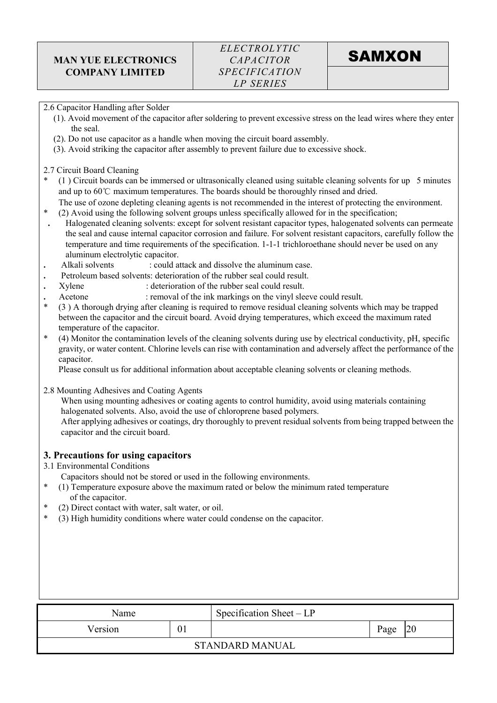#### 2.6 Capacitor Handling after Solder

- (1). Avoid movement of the capacitor after soldering to prevent excessive stress on the lead wires where they enter the seal.
- (2). Do not use capacitor as a handle when moving the circuit board assembly.
- (3). Avoid striking the capacitor after assembly to prevent failure due to excessive shock.

2.7 Circuit Board Cleaning

- $(1)$  Circuit boards can be immersed or ultrasonically cleaned using suitable cleaning solvents for up 5 minutes and up to 60℃ maximum temperatures. The boards should be thoroughly rinsed and dried.
- The use of ozone depleting cleaning agents is not recommended in the interest of protecting the environment.
- \* (2) Avoid using the following solvent groups unless specifically allowed for in the specification;
- . Halogenated cleaning solvents: except for solvent resistant capacitor types, halogenated solvents can permeate the seal and cause internal capacitor corrosion and failure. For solvent resistant capacitors, carefully follow the temperature and time requirements of the specification. 1-1-1 trichloroethane should never be used on any aluminum electrolytic capacitor.
- Alkali solvents : could attack and dissolve the aluminum case.
- . Petroleum based solvents: deterioration of the rubber seal could result.
- . Xylene : deterioration of the rubber seal could result.
- Acetone : removal of the ink markings on the vinyl sleeve could result.
- \* (3 ) A thorough drying after cleaning is required to remove residual cleaning solvents which may be trapped between the capacitor and the circuit board. Avoid drying temperatures, which exceed the maximum rated temperature of the capacitor.
- \* (4) Monitor the contamination levels of the cleaning solvents during use by electrical conductivity, pH, specific gravity, or water content. Chlorine levels can rise with contamination and adversely affect the performance of the capacitor.

Please consult us for additional information about acceptable cleaning solvents or cleaning methods.

2.8 Mounting Adhesives and Coating Agents

When using mounting adhesives or coating agents to control humidity, avoid using materials containing halogenated solvents. Also, avoid the use of chloroprene based polymers.

After applying adhesives or coatings, dry thoroughly to prevent residual solvents from being trapped between the capacitor and the circuit board.

#### 3. Precautions for using capacitors

3.1 Environmental Conditions

Capacitors should not be stored or used in the following environments.

- $(1)$  Temperature exposure above the maximum rated or below the minimum rated temperature of the capacitor.
- $(2)$  Direct contact with water, salt water, or oil.
- \* (3) High humidity conditions where water could condense on the capacitor.

| Name                      |  | Specification Sheet $-LP$ |      |    |
|---------------------------|--|---------------------------|------|----|
| Version<br>0 <sub>1</sub> |  |                           | Page | 20 |
|                           |  | <b>STANDARD MANUAL</b>    |      |    |